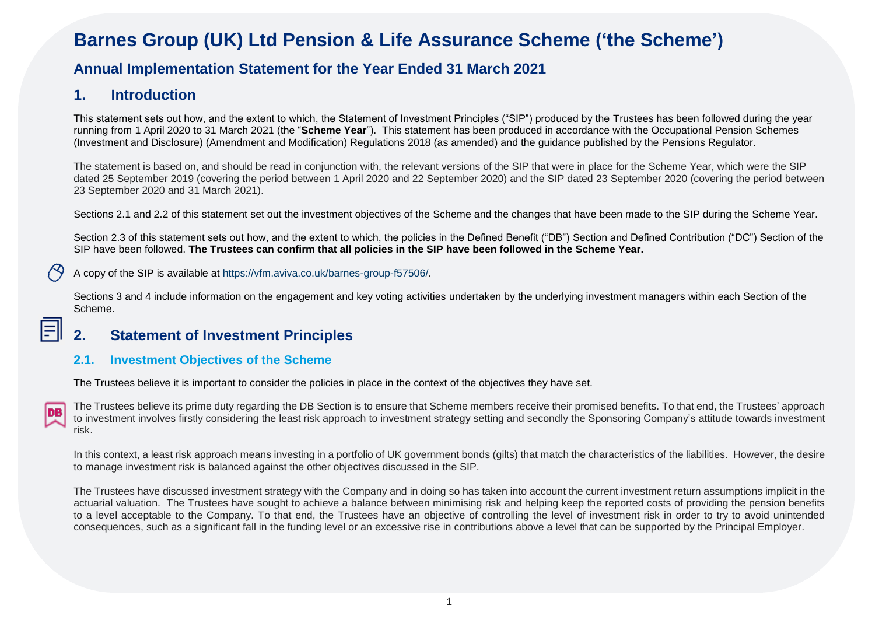# **Barnes Group (UK) Ltd Pension & Life Assurance Scheme ('the Scheme')**

# **Annual Implementation Statement for the Year Ended 31 March 2021**

### **1. Introduction**

This statement sets out how, and the extent to which, the Statement of Investment Principles ("SIP") produced by the Trustees has been followed during the year running from 1 April 2020 to 31 March 2021 (the "**Scheme Year**"). This statement has been produced in accordance with the Occupational Pension Schemes (Investment and Disclosure) (Amendment and Modification) Regulations 2018 (as amended) and the guidance published by the Pensions Regulator.

The statement is based on, and should be read in conjunction with, the relevant versions of the SIP that were in place for the Scheme Year, which were the SIP dated 25 September 2019 (covering the period between 1 April 2020 and 22 September 2020) and the SIP dated 23 September 2020 (covering the period between 23 September 2020 and 31 March 2021).

Sections 2.1 and 2.2 of this statement set out the investment objectives of the Scheme and the changes that have been made to the SIP during the Scheme Year.

Section 2.3 of this statement sets out how, and the extent to which, the policies in the Defined Benefit ("DB") Section and Defined Contribution ("DC") Section of the SIP have been followed. **The Trustees can confirm that all policies in the SIP have been followed in the Scheme Year.**

A copy of the SIP is available at [https://vfm.aviva.co.uk/barnes-group-f57506/.](https://vfm.aviva.co.uk/barnes-group-f57506/)

Sections 3 and 4 include information on the engagement and key voting activities undertaken by the underlying investment managers within each Section of the Scheme.

# **2. Statement of Investment Principles**

#### **2.1. Investment Objectives of the Scheme**

The Trustees believe it is important to consider the policies in place in the context of the objectives they have set.

目

The Trustees believe its prime duty regarding the DB Section is to ensure that Scheme members receive their promised benefits. To that end, the Trustees' approach to investment involves firstly considering the least risk approach to investment strategy setting and secondly the Sponsoring Company's attitude towards investment risk.

In this context, a least risk approach means investing in a portfolio of UK government bonds (gilts) that match the characteristics of the liabilities. However, the desire to manage investment risk is balanced against the other objectives discussed in the SIP.

The Trustees have discussed investment strategy with the Company and in doing so has taken into account the current investment return assumptions implicit in the actuarial valuation. The Trustees have sought to achieve a balance between minimising risk and helping keep the reported costs of providing the pension benefits to a level acceptable to the Company. To that end, the Trustees have an objective of controlling the level of investment risk in order to try to avoid unintended consequences, such as a significant fall in the funding level or an excessive rise in contributions above a level that can be supported by the Principal Employer.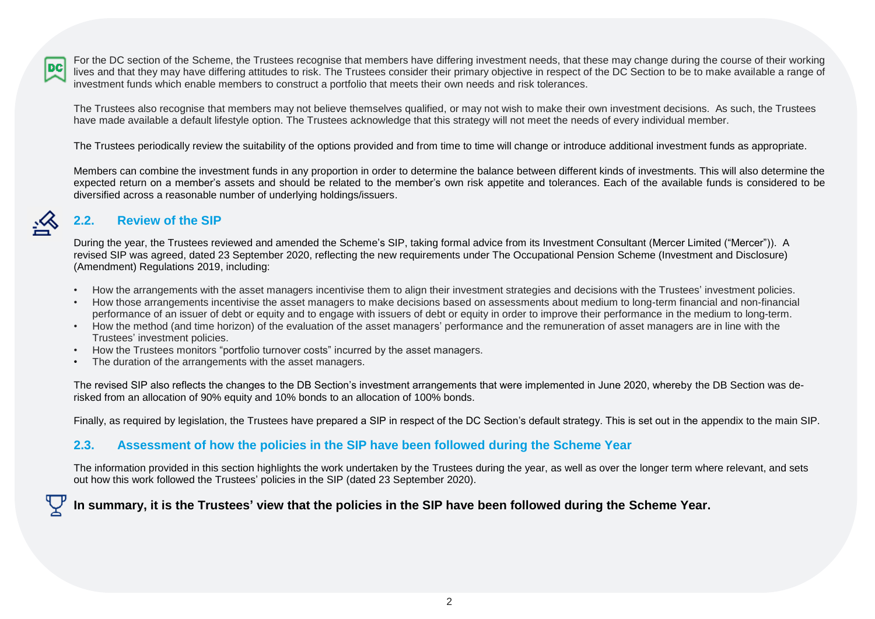For the DC section of the Scheme, the Trustees recognise that members have differing investment needs, that these may change during the course of their working **DC** lives and that they may have differing attitudes to risk. The Trustees consider their primary objective in respect of the DC Section to be to make available a range of investment funds which enable members to construct a portfolio that meets their own needs and risk tolerances.

The Trustees also recognise that members may not believe themselves qualified, or may not wish to make their own investment decisions. As such, the Trustees have made available a default lifestyle option. The Trustees acknowledge that this strategy will not meet the needs of every individual member.

The Trustees periodically review the suitability of the options provided and from time to time will change or introduce additional investment funds as appropriate.

Members can combine the investment funds in any proportion in order to determine the balance between different kinds of investments. This will also determine the expected return on a member's assets and should be related to the member's own risk appetite and tolerances. Each of the available funds is considered to be diversified across a reasonable number of underlying holdings/issuers.

### **2.2. Review of the SIP**

During the year, the Trustees reviewed and amended the Scheme's SIP, taking formal advice from its Investment Consultant (Mercer Limited ("Mercer")). A revised SIP was agreed, dated 23 September 2020, reflecting the new requirements under The Occupational Pension Scheme (Investment and Disclosure) (Amendment) Regulations 2019, including:

- How the arrangements with the asset managers incentivise them to align their investment strategies and decisions with the Trustees' investment policies.
- How those arrangements incentivise the asset managers to make decisions based on assessments about medium to long-term financial and non-financial performance of an issuer of debt or equity and to engage with issuers of debt or equity in order to improve their performance in the medium to long-term.
- How the method (and time horizon) of the evaluation of the asset managers' performance and the remuneration of asset managers are in line with the Trustees' investment policies.
- How the Trustees monitors "portfolio turnover costs" incurred by the asset managers.
- The duration of the arrangements with the asset managers.

The revised SIP also reflects the changes to the DB Section's investment arrangements that were implemented in June 2020, whereby the DB Section was derisked from an allocation of 90% equity and 10% bonds to an allocation of 100% bonds.

Finally, as required by legislation, the Trustees have prepared a SIP in respect of the DC Section's default strategy. This is set out in the appendix to the main SIP.

#### **2.3. Assessment of how the policies in the SIP have been followed during the Scheme Year**

The information provided in this section highlights the work undertaken by the Trustees during the year, as well as over the longer term where relevant, and sets out how this work followed the Trustees' policies in the SIP (dated 23 September 2020).

# **In summary, it is the Trustees' view that the policies in the SIP have been followed during the Scheme Year.**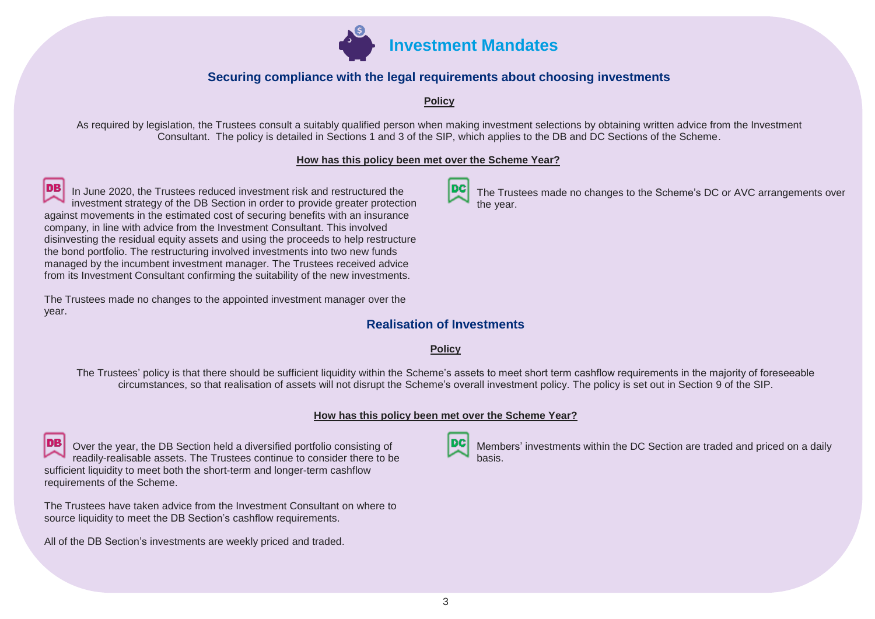

#### **Securing compliance with the legal requirements about choosing investments**

**Policy**

As required by legislation, the Trustees consult a suitably qualified person when making investment selections by obtaining written advice from the Investment Consultant. The policy is detailed in Sections 1 and 3 of the SIP, which applies to the DB and DC Sections of the Scheme.

#### **How has this policy been met over the Scheme Year?**

In June 2020, the Trustees reduced investment risk and restructured the investment strategy of the DB Section in order to provide greater protection against movements in the estimated cost of securing benefits with an insurance company, in line with advice from the Investment Consultant. This involved disinvesting the residual equity assets and using the proceeds to help restructure the bond portfolio. The restructuring involved investments into two new funds managed by the incumbent investment manager. The Trustees received advice from its Investment Consultant confirming the suitability of the new investments.

The Trustees made no changes to the appointed investment manager over the year.

### **Realisation of Investments**

#### **Policy**

The Trustees' policy is that there should be sufficient liquidity within the Scheme's assets to meet short term cashflow requirements in the majority of foreseeable circumstances, so that realisation of assets will not disrupt the Scheme's overall investment policy. The policy is set out in Section 9 of the SIP.

#### **How has this policy been met over the Scheme Year?**

Over the year, the DB Section held a diversified portfolio consisting of readily-realisable assets. The Trustees continue to consider there to be sufficient liquidity to meet both the short-term and longer-term cashflow requirements of the Scheme.

The Trustees have taken advice from the Investment Consultant on where to source liquidity to meet the DB Section's cashflow requirements.

All of the DB Section's investments are weekly priced and traded.



Members' investments within the DC Section are traded and priced on a daily basis.



The Trustees made no changes to the Scheme's DC or AVC arrangements over the year.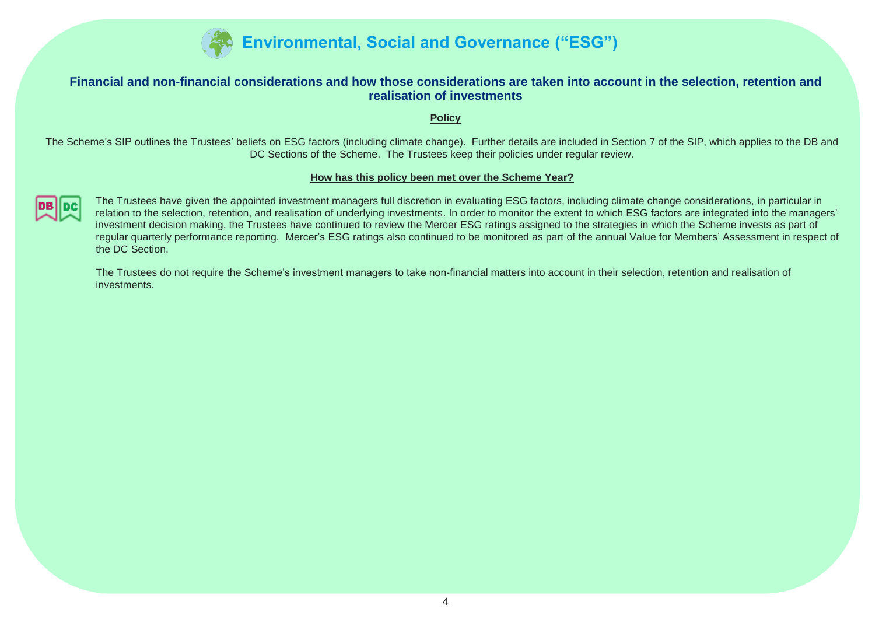

#### **Financial and non-financial considerations and how those considerations are taken into account in the selection, retention and realisation of investments**

**Policy**

The Scheme's SIP outlines the Trustees' beliefs on ESG factors (including climate change). Further details are included in Section 7 of the SIP, which applies to the DB and DC Sections of the Scheme. The Trustees keep their policies under regular review.

#### **How has this policy been met over the Scheme Year?**



The Trustees have given the appointed investment managers full discretion in evaluating ESG factors, including climate change considerations, in particular in relation to the selection, retention, and realisation of underlying investments. In order to monitor the extent to which ESG factors are integrated into the managers' investment decision making, the Trustees have continued to review the Mercer ESG ratings assigned to the strategies in which the Scheme invests as part of regular quarterly performance reporting. Mercer's ESG ratings also continued to be monitored as part of the annual Value for Members' Assessment in respect of the DC Section.

The Trustees do not require the Scheme's investment managers to take non-financial matters into account in their selection, retention and realisation of investments.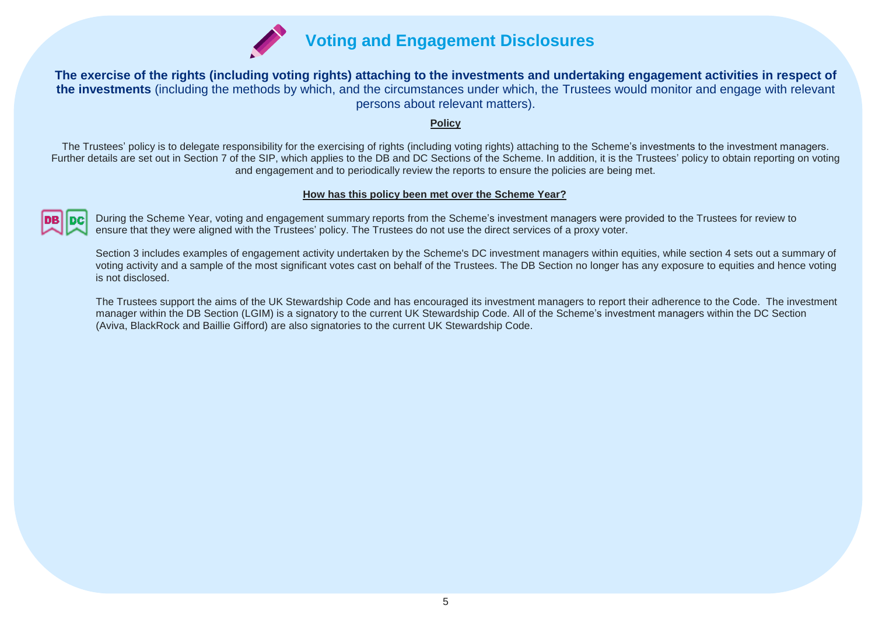

**The exercise of the rights (including voting rights) attaching to the investments and undertaking engagement activities in respect of the investments** (including the methods by which, and the circumstances under which, the Trustees would monitor and engage with relevant persons about relevant matters).

#### **Policy**

The Trustees' policy is to delegate responsibility for the exercising of rights (including voting rights) attaching to the Scheme's investments to the investment managers. Further details are set out in Section 7 of the SIP, which applies to the DB and DC Sections of the Scheme. In addition, it is the Trustees' policy to obtain reporting on voting and engagement and to periodically review the reports to ensure the policies are being met.

#### **How has this policy been met over the Scheme Year?**

During the Scheme Year, voting and engagement summary reports from the Scheme's investment managers were provided to the Trustees for review to ensure that they were aligned with the Trustees' policy. The Trustees do not use the direct services of a proxy voter.

Section 3 includes examples of engagement activity undertaken by the Scheme's DC investment managers within equities, while section 4 sets out a summary of voting activity and a sample of the most significant votes cast on behalf of the Trustees. The DB Section no longer has any exposure to equities and hence voting is not disclosed.

The Trustees support the aims of the UK Stewardship Code and has encouraged its investment managers to report their adherence to the Code. The investment manager within the DB Section (LGIM) is a signatory to the current UK Stewardship Code. All of the Scheme's investment managers within the DC Section (Aviva, BlackRock and Baillie Gifford) are also signatories to the current UK Stewardship Code.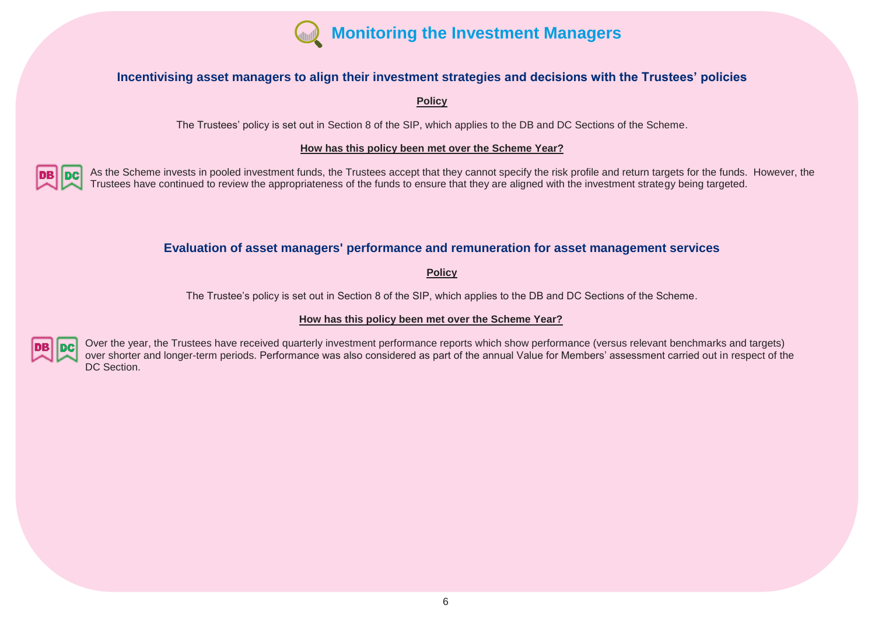

#### **Incentivising asset managers to align their investment strategies and decisions with the Trustees' policies**

**Policy**

The Trustees' policy is set out in Section 8 of the SIP, which applies to the DB and DC Sections of the Scheme.

#### **How has this policy been met over the Scheme Year?**

As the Scheme invests in pooled investment funds, the Trustees accept that they cannot specify the risk profile and return targets for the funds. However, the Trustees have continued to review the appropriateness of the funds to ensure that they are aligned with the investment strategy being targeted.

#### **Evaluation of asset managers' performance and remuneration for asset management services**

**Policy**

The Trustee's policy is set out in Section 8 of the SIP, which applies to the DB and DC Sections of the Scheme.

#### **How has this policy been met over the Scheme Year?**



Over the year, the Trustees have received quarterly investment performance reports which show performance (versus relevant benchmarks and targets) over shorter and longer-term periods. Performance was also considered as part of the annual Value for Members' assessment carried out in respect of the DC Section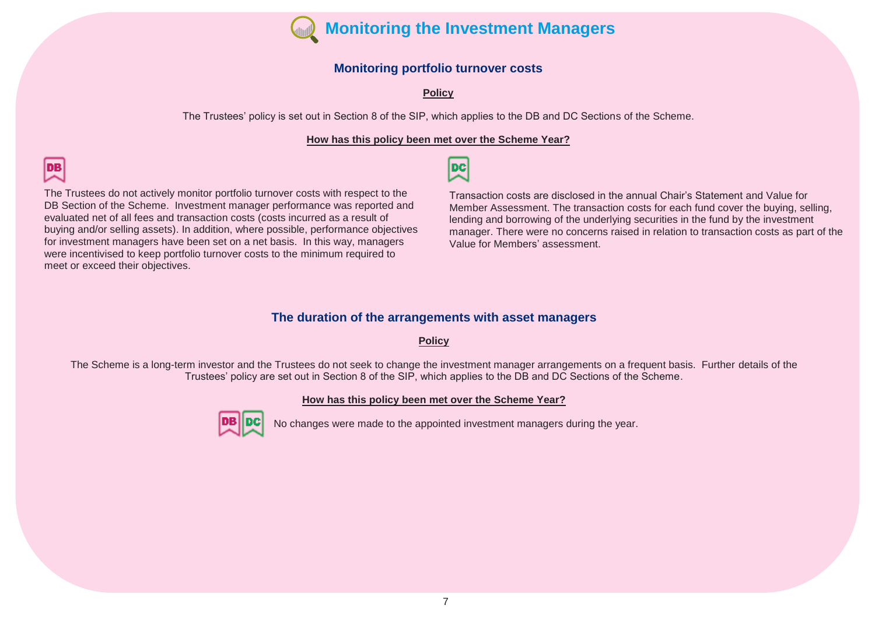

#### **Monitoring portfolio turnover costs**

**Policy**

The Trustees' policy is set out in Section 8 of the SIP, which applies to the DB and DC Sections of the Scheme.

#### **How has this policy been met over the Scheme Year?**

형

The Trustees do not actively monitor portfolio turnover costs with respect to the DB Section of the Scheme. Investment manager performance was reported and evaluated net of all fees and transaction costs (costs incurred as a result of buying and/or selling assets). In addition, where possible, performance objectives for investment managers have been set on a net basis. In this way, managers were incentivised to keep portfolio turnover costs to the minimum required to meet or exceed their objectives.

lов

Transaction costs are disclosed in the annual Chair's Statement and Value for Member Assessment. The transaction costs for each fund cover the buying, selling, lending and borrowing of the underlying securities in the fund by the investment manager. There were no concerns raised in relation to transaction costs as part of the Value for Members' assessment.

#### **The duration of the arrangements with asset managers**

#### **Policy**

The Scheme is a long-term investor and the Trustees do not seek to change the investment manager arrangements on a frequent basis. Further details of the Trustees' policy are set out in Section 8 of the SIP, which applies to the DB and DC Sections of the Scheme.

#### **How has this policy been met over the Scheme Year?**



No changes were made to the appointed investment managers during the year.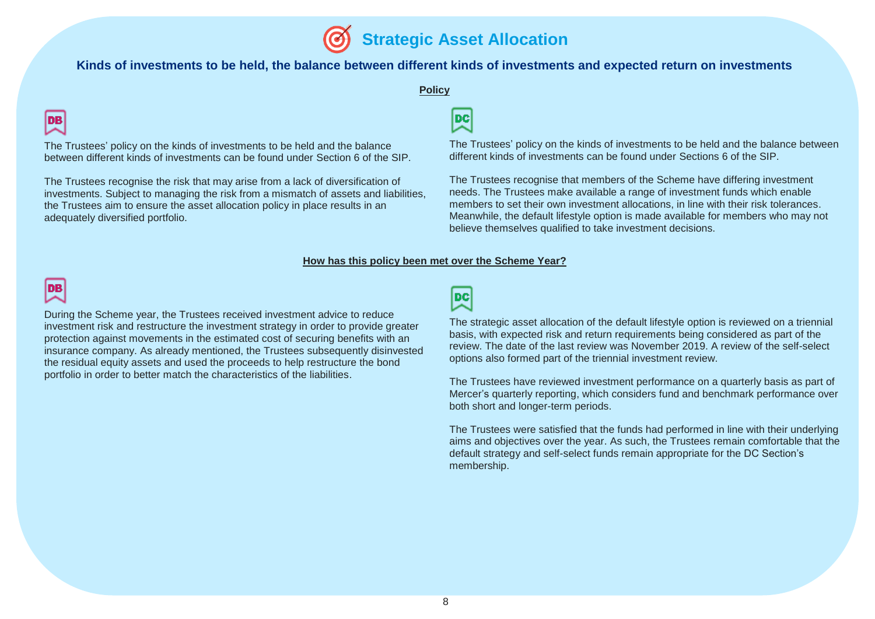#### **Kinds of investments to be held, the balance between different kinds of investments and expected return on investments**

#### **Policy**

# DB

The Trustees' policy on the kinds of investments to be held and the balance between different kinds of investments can be found under Section 6 of the SIP.

The Trustees recognise the risk that may arise from a lack of diversification of investments. Subject to managing the risk from a mismatch of assets and liabilities, the Trustees aim to ensure the asset allocation policy in place results in an adequately diversified portfolio.

# **DC**

The Trustees' policy on the kinds of investments to be held and the balance between different kinds of investments can be found under Sections 6 of the SIP.

The Trustees recognise that members of the Scheme have differing investment needs. The Trustees make available a range of investment funds which enable members to set their own investment allocations, in line with their risk tolerances. Meanwhile, the default lifestyle option is made available for members who may not believe themselves qualified to take investment decisions.

#### **How has this policy been met over the Scheme Year?**



During the Scheme year, the Trustees received investment advice to reduce investment risk and restructure the investment strategy in order to provide greater protection against movements in the estimated cost of securing benefits with an insurance company. As already mentioned, the Trustees subsequently disinvested the residual equity assets and used the proceeds to help restructure the bond portfolio in order to better match the characteristics of the liabilities.

# 咬

The strategic asset allocation of the default lifestyle option is reviewed on a triennial basis, with expected risk and return requirements being considered as part of the review. The date of the last review was November 2019. A review of the self-select options also formed part of the triennial investment review.

The Trustees have reviewed investment performance on a quarterly basis as part of Mercer's quarterly reporting, which considers fund and benchmark performance over both short and longer-term periods.

The Trustees were satisfied that the funds had performed in line with their underlying aims and objectives over the year. As such, the Trustees remain comfortable that the default strategy and self-select funds remain appropriate for the DC Section's membership.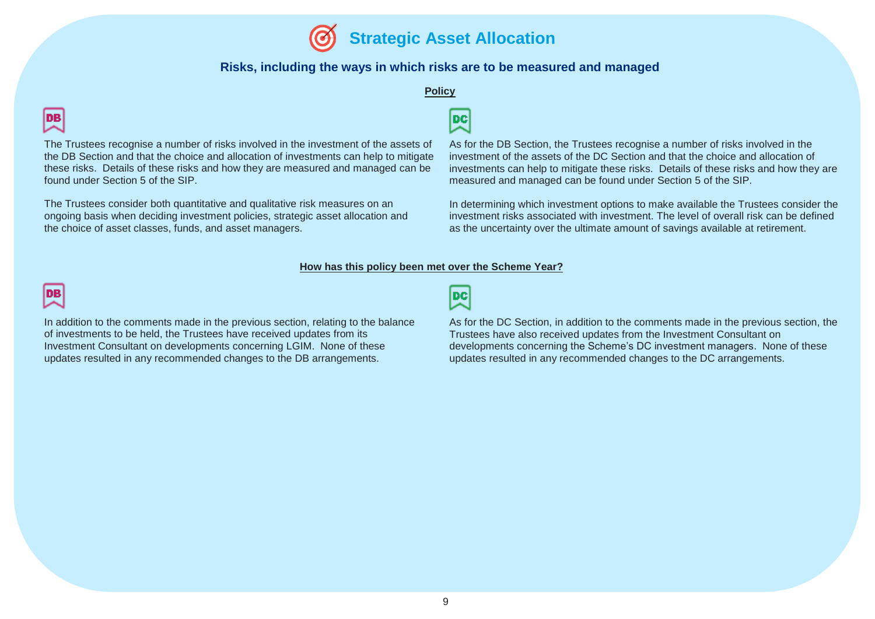

#### **Risks, including the ways in which risks are to be measured and managed**

#### **Policy**

# **DB**

The Trustees recognise a number of risks involved in the investment of the assets of the DB Section and that the choice and allocation of investments can help to mitigate these risks. Details of these risks and how they are measured and managed can be found under Section 5 of the SIP.

The Trustees consider both quantitative and qualitative risk measures on an ongoing basis when deciding investment policies, strategic asset allocation and the choice of asset classes, funds, and asset managers.



As for the DB Section, the Trustees recognise a number of risks involved in the investment of the assets of the DC Section and that the choice and allocation of investments can help to mitigate these risks. Details of these risks and how they are measured and managed can be found under Section 5 of the SIP.

In determining which investment options to make available the Trustees consider the investment risks associated with investment. The level of overall risk can be defined as the uncertainty over the ultimate amount of savings available at retirement.

#### **How has this policy been met over the Scheme Year?**



In addition to the comments made in the previous section, relating to the balance of investments to be held, the Trustees have received updates from its Investment Consultant on developments concerning LGIM. None of these updates resulted in any recommended changes to the DB arrangements.

폇

As for the DC Section, in addition to the comments made in the previous section, the Trustees have also received updates from the Investment Consultant on developments concerning the Scheme's DC investment managers. None of these updates resulted in any recommended changes to the DC arrangements.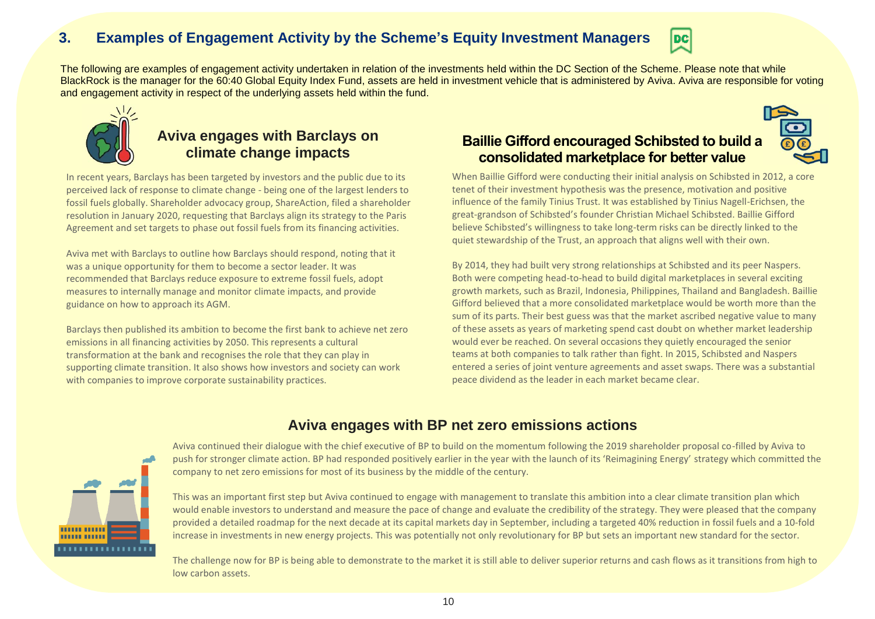# **3. Examples of Engagement Activity by the Scheme's Equity Investment Managers**



The following are examples of engagement activity undertaken in relation of the investments held within the DC Section of the Scheme. Please note that while BlackRock is the manager for the 60:40 Global Equity Index Fund, assets are held in investment vehicle that is administered by Aviva. Aviva are responsible for voting and engagement activity in respect of the underlying assets held within the fund.



# **Aviva engages with Barclays on climate change impacts**

In recent years, Barclays has been targeted by investors and the public due to its perceived lack of response to climate change - being one of the largest lenders to fossil fuels globally. Shareholder advocacy group, ShareAction, filed a shareholder resolution in January 2020, requesting that Barclays align its strategy to the Paris Agreement and set targets to phase out fossil fuels from its financing activities.

Aviva met with Barclays to outline how Barclays should respond, noting that it was a unique opportunity for them to become a sector leader. It was recommended that Barclays reduce exposure to extreme fossil fuels, adopt measures to internally manage and monitor climate impacts, and provide guidance on how to approach its AGM.

Barclays then published its ambition to become the first bank to achieve net zero emissions in all financing activities by 2050. This represents a cultural transformation at the bank and recognises the role that they can play in supporting climate transition. It also shows how investors and society can work with companies to improve corporate sustainability practices.

# **Baillie Gifford encouraged Schibsted to build a consolidated marketplace for better value**

When Baillie Gifford were conducting their initial analysis on Schibsted in 2012, a core tenet of their investment hypothesis was the presence, motivation and positive influence of the family Tinius Trust. It was established by Tinius Nagell-Erichsen, the great-grandson of Schibsted's founder Christian Michael Schibsted. Baillie Gifford believe Schibsted's willingness to take long-term risks can be directly linked to the quiet stewardship of the Trust, an approach that aligns well with their own.

By 2014, they had built very strong relationships at Schibsted and its peer Naspers. Both were competing head-to-head to build digital marketplaces in several exciting growth markets, such as Brazil, Indonesia, Philippines, Thailand and Bangladesh. Baillie Gifford believed that a more consolidated marketplace would be worth more than the sum of its parts. Their best guess was that the market ascribed negative value to many of these assets as years of marketing spend cast doubt on whether market leadership would ever be reached. On several occasions they quietly encouraged the senior teams at both companies to talk rather than fight. In 2015, Schibsted and Naspers entered a series of joint venture agreements and asset swaps. There was a substantial peace dividend as the leader in each market became clear.

## **Aviva engages with BP net zero emissions actions**



Aviva continued their dialogue with the chief executive of BP to build on the momentum following the 2019 shareholder proposal co-filled by Aviva to push for stronger climate action. BP had responded positively earlier in the year with the launch of its 'Reimagining Energy' strategy which committed the company to net zero emissions for most of its business by the middle of the century.

This was an important first step but Aviva continued to engage with management to translate this ambition into a clear climate transition plan which would enable investors to understand and measure the pace of change and evaluate the credibility of the strategy. They were pleased that the company provided a detailed roadmap for the next decade at its capital markets day in September, including a targeted 40% reduction in fossil fuels and a 10-fold increase in investments in new energy projects. This was potentially not only revolutionary for BP but sets an important new standard for the sector.

The challenge now for BP is being able to demonstrate to the market it is still able to deliver superior returns and cash flows as it transitions from high to low carbon assets.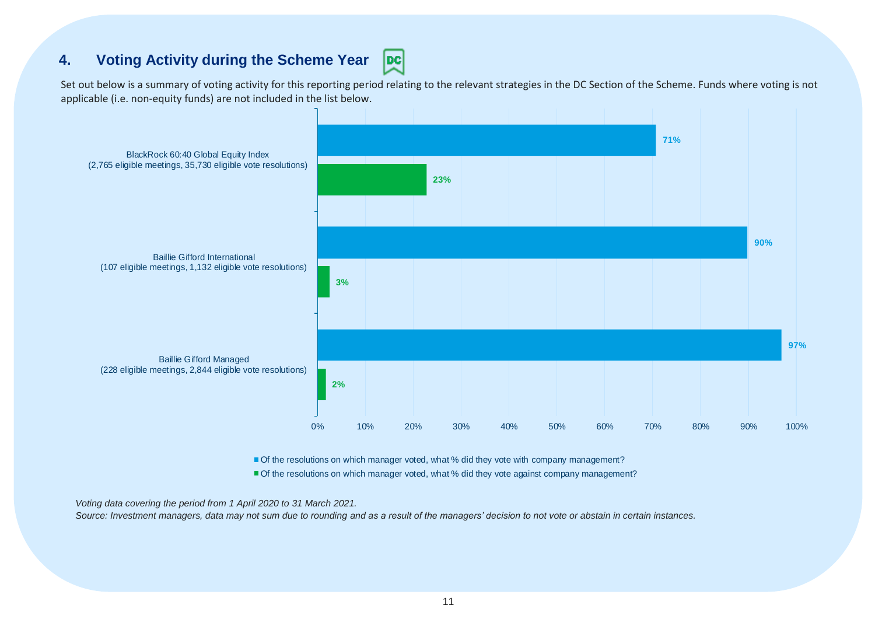# **4. Voting Activity during the Scheme Year**

Set out below is a summary of voting activity for this reporting period relating to the relevant strategies in the DC Section of the Scheme. Funds where voting is not applicable (i.e. non-equity funds) are not included in the list below.

 $|{\bf pc}|$ 



Of the resolutions on which manager voted, what % did they vote with company management?

Of the resolutions on which manager voted, what % did they vote against company management?

*Voting data covering the period from 1 April 2020 to 31 March 2021.* 

*Source: Investment managers, data may not sum due to rounding and as a result of the managers' decision to not vote or abstain in certain instances.*